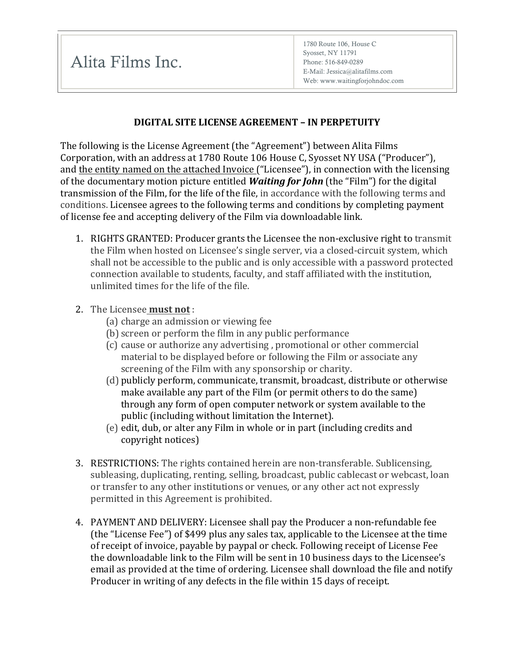Alita Films Inc.

## **DIGITAL SITE LICENSE AGREEMENT – IN PERPETUITY**

The following is the License Agreement (the "Agreement") between Alita Films Corporation, with an address at 1780 Route 106 House C, Syosset NY USA ("Producer"), and the entity named on the attached Invoice ("Licensee"), in connection with the licensing of the documentary motion picture entitled **Waiting for John** (the "Film") for the digital transmission of the Film, for the life of the file, in accordance with the following terms and conditions. Licensee agrees to the following terms and conditions by completing payment of license fee and accepting delivery of the Film via downloadable link.

- 1. RIGHTS GRANTED: Producer grants the Licensee the non-exclusive right to transmit the Film when hosted on Licensee's single server, via a closed-circuit system, which shall not be accessible to the public and is only accessible with a password protected connection available to students, faculty, and staff affiliated with the institution, unlimited times for the life of the file.
- 2. The Licensee **must not**:
	- (a) charge an admission or viewing fee
	- (b) screen or perform the film in any public performance
	- (c) cause or authorize any advertising, promotional or other commercial material to be displayed before or following the Film or associate any screening of the Film with any sponsorship or charity.
	- (d) publicly perform, communicate, transmit, broadcast, distribute or otherwise make available any part of the Film (or permit others to do the same) through any form of open computer network or system available to the public (including without limitation the Internet).
	- (e) edit, dub, or alter any Film in whole or in part (including credits and copyright notices)
- 3. RESTRICTIONS: The rights contained herein are non-transferable. Sublicensing, subleasing, duplicating, renting, selling, broadcast, public cablecast or webcast, loan or transfer to any other institutions or venues, or any other act not expressly permitted in this Agreement is prohibited.
- 4. PAYMENT AND DELIVERY: Licensee shall pay the Producer a non-refundable fee (the "License Fee") of \$499 plus any sales tax, applicable to the Licensee at the time of receipt of invoice, payable by paypal or check. Following receipt of License Fee the downloadable link to the Film will be sent in 10 business days to the Licensee's email as provided at the time of ordering. Licensee shall download the file and notify Producer in writing of any defects in the file within 15 days of receipt.